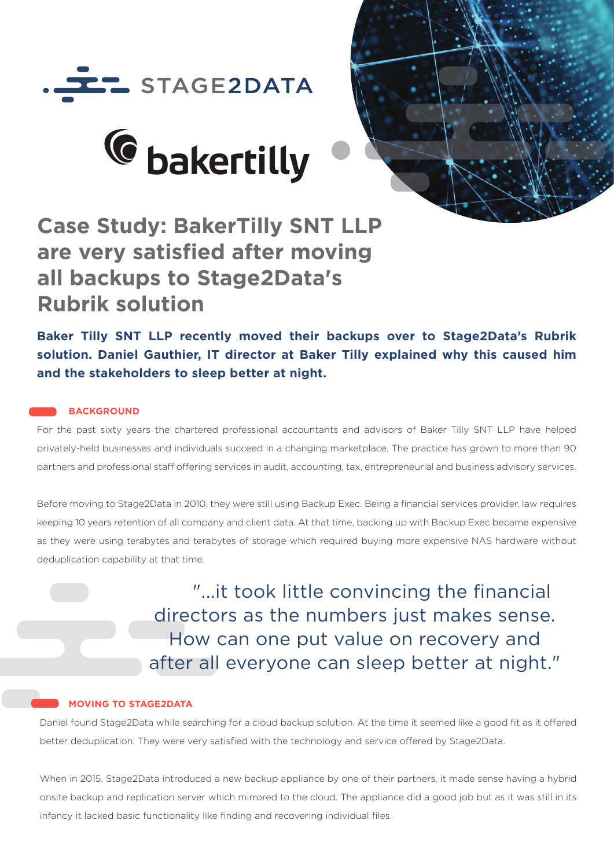





# **Case Study: BakerTilly SNT LLP are very satisfied after moving all backups to Stage2Data's Rubrik solution**

**Baker Tilly SNT LLP recently moved their backups over to Stage2Data's Rubrik solution. Daniel Gauthier, IT director at Baker Tilly explained why this caused him and the stakeholders to sleep better at night.** 

# **BACKGROUND**

For the past sixty years the chartered professional accountants and advisors of Baker Tilly SNT LLP have helped privately-held businesses and individuals succeed in a changing marketplace. The practice has grown to more than 90 partners and professional staff offering services in audit, accounting, tax, entrepreneurial and business advisory services.

Before moving to Stage2Data in 2010, they were still using Backup Exec. Being a financial services provider, law requires keeping 10 years retention of all company and client data. At that time, backing up with Backup Exec became expensive as they were using terabytes and terabytes of storage which required buying more expensive NAS hardware without deduplication capability at that time.

> "...it took little convincing the financial directors as the numbers just makes sense. How can one put value on recovery and after all everyone can sleep better at night."

## **MOVING TO STAGE2DATA**

Daniel found Stage2Data while searching for a cloud backup solution. At the time it seemed like a good fit as it offered better deduplication. They were very satisfied with the technology and service offered by Stage2Data.

 When in 2015, Stage2Data introduced a new backup appliance by one of their partners, it made sense having a hybrid onsite backup and replication server which mirrored to the cloud. The appliance did a good job but as it was still in its infancy it lacked basic functionality like finding and recovering individual files.